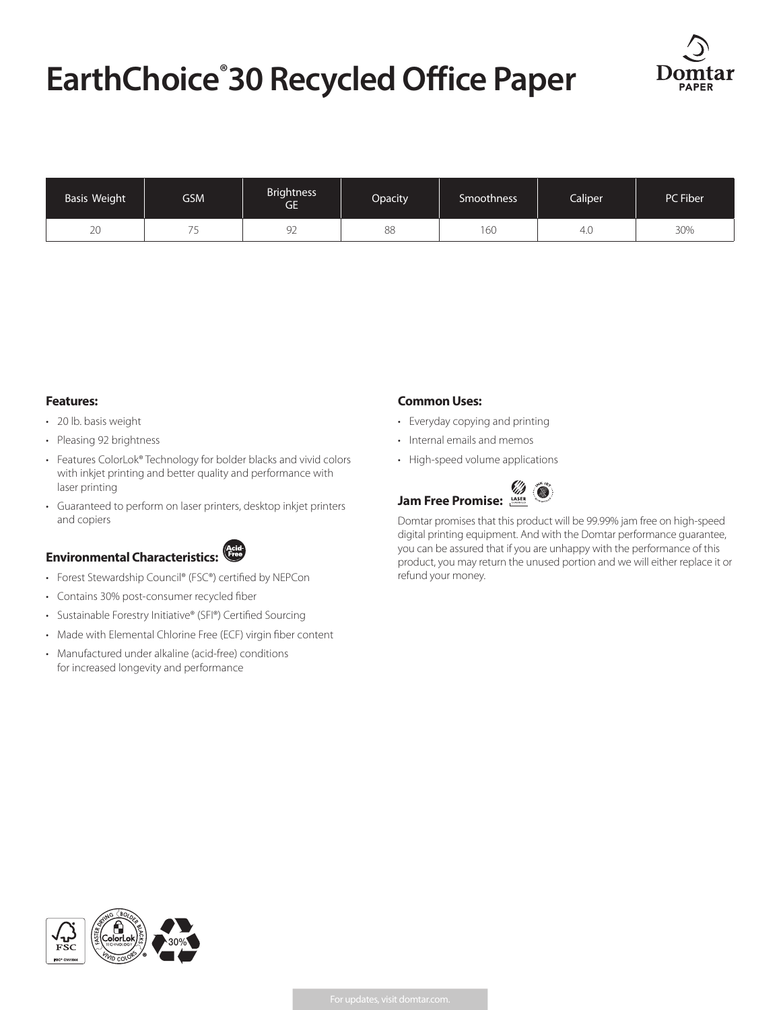# **EarthChoice® 30 Recycled Office Paper**



| Basis Weight | <b>GSM</b> | <b>Brightness</b><br>GE' | Opacity | <b>Smoothness</b> | Caliper | PC Fiber |
|--------------|------------|--------------------------|---------|-------------------|---------|----------|
| 20           | -          | $\cap$<br>ч<br>৴∠        | 88      | 60                | 4.0     | 30%      |

#### **Features:**

- 20 lb. basis weight
- Pleasing 92 brightness
- Features ColorLok® Technology for bolder blacks and vivid colors with inkjet printing and better quality and performance with laser printing
- Guaranteed to perform on laser printers, desktop inkjet printers and copiers



- Forest Stewardship Council® (FSC®) certified by NEPCon
- Contains 30% post-consumer recycled fiber
- Sustainable Forestry Initiative® (SFI®) Certified Sourcing
- Made with Elemental Chlorine Free (ECF) virgin fiber content
- Manufactured under alkaline (acid-free) conditions for increased longevity and performance

#### **Common Uses:**

- Everyday copying and printing
- Internal emails and memos
- High-speed volume applications

## **Jam Free Promise:**

Domtar promises that this product will be 99.99% jam free on high-speed digital printing equipment. And with the Domtar performance guarantee, you can be assured that if you are unhappy with the performance of this product, you may return the unused portion and we will either replace it or refund your money.